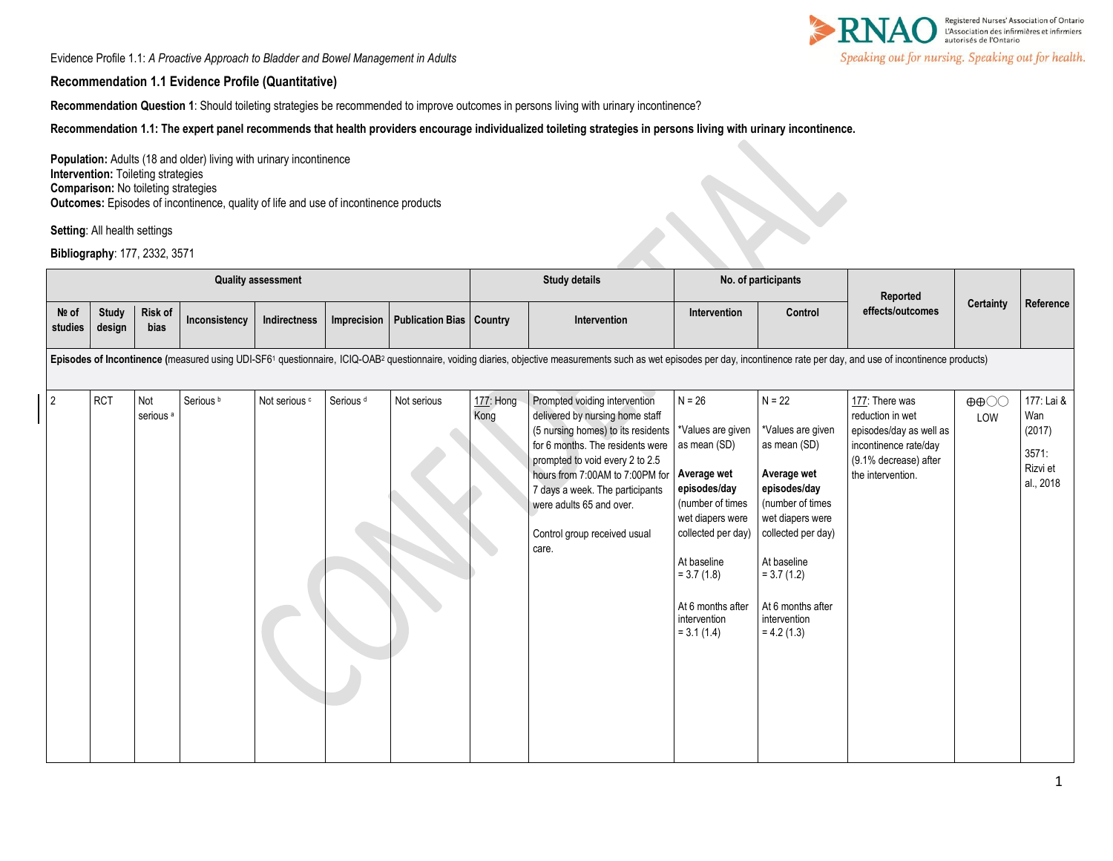Evidence Profile 1.1: *A Proactive Approach to Bladder and Bowel Management in Adults*

### **Recommendation 1.1 Evidence Profile (Quantitative)**

**Recommendation Question 1**: Should toileting strategies be recommended to improve outcomes in persons living with urinary incontinence?

**Recommendation 1.1: The expert panel recommends that health providers encourage individualized toileting strategies in persons living with urinary incontinence.**

Population: Adults (18 and older) living with urinary incontinence **Intervention:** Toileting strategies **Comparison:** No toileting strategies **Outcomes:** Episodes of incontinence, quality of life and use of incontinence products

**Setting**: All health settings

**Bibliography**: 177, 2332, 3571

|                  | <b>Quality assessment</b>                                                                                                                                                                                                                |                             |                      |               |                      |                                   |                   | <b>Study details</b>                                                                                                                                                                                                                                                                                                     |                                                                                                                                                                            | No. of participants                                                                                                                                                       |                                                                                                                                      |                                          |                                                               |
|------------------|------------------------------------------------------------------------------------------------------------------------------------------------------------------------------------------------------------------------------------------|-----------------------------|----------------------|---------------|----------------------|-----------------------------------|-------------------|--------------------------------------------------------------------------------------------------------------------------------------------------------------------------------------------------------------------------------------------------------------------------------------------------------------------------|----------------------------------------------------------------------------------------------------------------------------------------------------------------------------|---------------------------------------------------------------------------------------------------------------------------------------------------------------------------|--------------------------------------------------------------------------------------------------------------------------------------|------------------------------------------|---------------------------------------------------------------|
| Nº of<br>studies | Study<br>design                                                                                                                                                                                                                          | Risk of<br>bias             | Inconsistency        | Indirectness  | Imprecision          | <b>Publication Bias   Country</b> |                   | Intervention                                                                                                                                                                                                                                                                                                             | Intervention                                                                                                                                                               | Control                                                                                                                                                                   | Reported<br>effects/outcomes                                                                                                         | <b>Certainty</b>                         | Reference                                                     |
|                  | Episodes of Incontinence (measured using UDI-SF61 questionnaire, ICIQ-OAB <sup>2</sup> questionnaire, voiding diaries, objective measurements such as wet episodes per day, incontinence rate per day, and use of incontinence products) |                             |                      |               |                      |                                   |                   |                                                                                                                                                                                                                                                                                                                          |                                                                                                                                                                            |                                                                                                                                                                           |                                                                                                                                      |                                          |                                                               |
| $\overline{2}$   | <b>RCT</b>                                                                                                                                                                                                                               | Not<br>serious <sup>a</sup> | Serious <sup>b</sup> | Not serious c | Serious <sup>d</sup> | Not serious                       | 177: Hong<br>Kong | Prompted voiding intervention<br>delivered by nursing home staff<br>(5 nursing homes) to its residents<br>for 6 months. The residents were<br>prompted to void every 2 to 2.5<br>hours from 7:00AM to 7:00PM for<br>7 days a week. The participants<br>were adults 65 and over.<br>Control group received usual<br>care. | $N = 26$<br>*Values are given<br>as mean (SD)<br>Average wet<br>episodes/day<br>(number of times)<br>wet diapers were<br>collected per day)<br>At baseline<br>$= 3.7(1.8)$ | $N = 22$<br>*Values are given<br>as mean (SD)<br>Average wet<br>episodes/day<br>(number of times<br>wet diapers were<br>collected per day)<br>At baseline<br>$= 3.7(1.2)$ | 177: There was<br>reduction in wet<br>episodes/day as well as<br>incontinence rate/day<br>(9.1% decrease) after<br>the intervention. | $\oplus \oplus \bigcirc \bigcirc$<br>LOW | 177: Lai &<br>Wan<br>(2017)<br>3571:<br>Rizvi et<br>al., 2018 |

|  |  |  |  | At 6 months after<br>intervention<br>$= 3.1(1.4)$ | At 6 months after<br>intervention<br>$= 4.2(1.3)$ |  |  |
|--|--|--|--|---------------------------------------------------|---------------------------------------------------|--|--|
|  |  |  |  |                                                   |                                                   |  |  |
|  |  |  |  |                                                   |                                                   |  |  |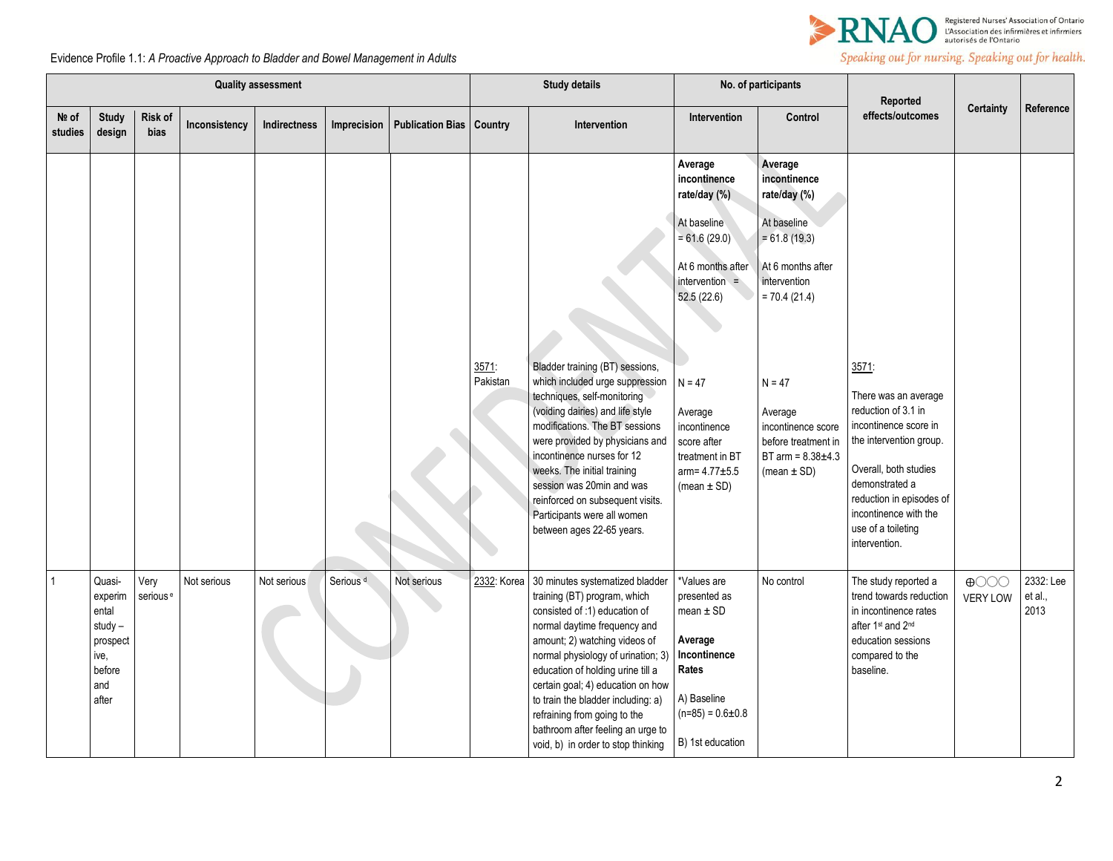

#### Evidence Profile 1.1: *A Proactive Approach to Bladder and Bowel Management in Adults*

**Quality assessment Study details No. of participants Reported effects/outcomes Certainty Reference № of studies Study design Risk of bias Inconsistency Indirectness Imprecision Publication Bias Country Intervention Intervention Control**  3571: Pakistan Bladder training (BT) sessions, which included urge suppression techniques, self-monitoring (voiding dairies) and life style modifications. The BT sessions were provided by physicians and incontinence nurses for 12 weeks. The initial training session was 20min and was reinforced on subsequent visits. Participants were all women between ages 22-65 years. **Average incontinence rate/day (%)** At baseline = 61.6 (29.0) At 6 months after intervention = 52.5 (22.6)  $N = 47$ Average incontinence score after treatment in BT  $arm = 4.77 \pm 5.5$  $(mean \pm SD)$ **Average incontinence rate/day (%)** At baseline = 61.8 (19.3) At 6 months after intervention = 70.4 (21.4)  $N = 47$ Average incontinence score before treatment in BT arm = 8.38±4.3  $(mean \pm SD)$ 3571: There was an average reduction of 3.1 in incontinence score in the intervention group. Overall, both studies demonstrated a reduction in episodes of incontinence with the use of a toileting intervention. 1 Quasiexperim ental study – prospect ive, before and after Very serious<sup>e</sup> Not serious Not serious Serious Not serious 2332: Korea 30 minutes systematized bladder training (BT) program, which consisted of :1) education of normal daytime frequency and amount; 2) watching videos of normal physiology of urination; 3) education of holding urine till a certain goal; 4) education on how to train the bladder including: a) refraining from going to the bathroom after feeling an urge to \*Values are presented as mean  $\pm$  SD **Average Incontinence Rates** A) Baseline  $(n=85) = 0.6 \pm 0.8$ B) 1st education No control The study reported a trend towards reduction in incontinence rates after 1st and 2nd education sessions compared to the baseline. ⨁◯◯◯ VERY LOW 2332: Lee et al., 2013

void, b) in order to stop thinking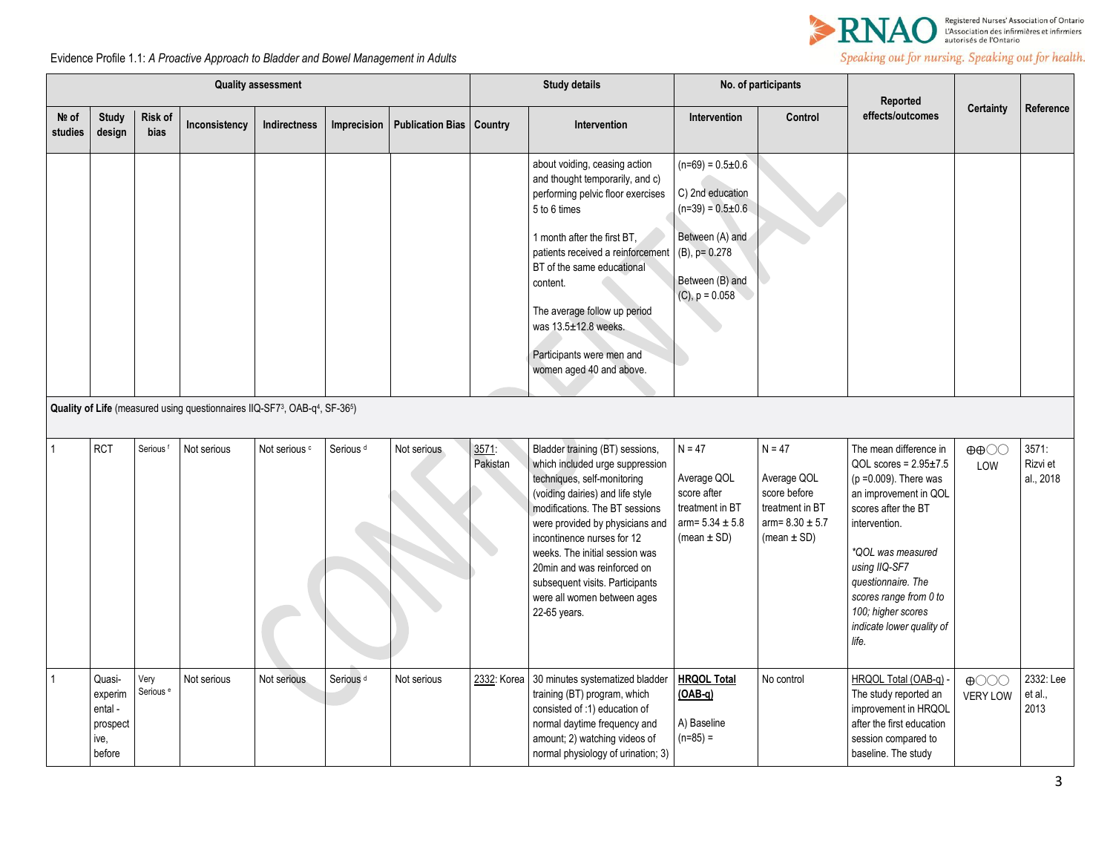

# Evidence Profile 1.1: *A Proactive Approach to Bladder and Bowel Management in Adults*

|                  |                                                           |                              |                                                                          | <b>Quality assessment</b> |                      |                                   | <b>Study details</b> |                                                                                                                                                                                                                                                                                                                                                                                             | No. of participants                                                                                                                                   |                                                                                                      | Reported                                                                                                                                                                                                                                                                                              |                                                      |                                |
|------------------|-----------------------------------------------------------|------------------------------|--------------------------------------------------------------------------|---------------------------|----------------------|-----------------------------------|----------------------|---------------------------------------------------------------------------------------------------------------------------------------------------------------------------------------------------------------------------------------------------------------------------------------------------------------------------------------------------------------------------------------------|-------------------------------------------------------------------------------------------------------------------------------------------------------|------------------------------------------------------------------------------------------------------|-------------------------------------------------------------------------------------------------------------------------------------------------------------------------------------------------------------------------------------------------------------------------------------------------------|------------------------------------------------------|--------------------------------|
| Nº of<br>studies | <b>Study</b><br>design                                    | Risk of<br><b>bias</b>       | Inconsistency                                                            | <b>Indirectness</b>       | Imprecision          | <b>Publication Bias   Country</b> |                      | Intervention                                                                                                                                                                                                                                                                                                                                                                                | Intervention                                                                                                                                          | Control                                                                                              | effects/outcomes                                                                                                                                                                                                                                                                                      | Certainty                                            | Reference                      |
|                  |                                                           |                              | Quality of Life (measured using questionnaires IIQ-SF73, OAB-q4, SF-365) |                           |                      |                                   |                      | about voiding, ceasing action<br>and thought temporarily, and c)<br>performing pelvic floor exercises<br>5 to 6 times<br>1 month after the first BT,<br>patients received a reinforcement<br>BT of the same educational<br>content.<br>The average follow up period<br>was 13.5±12.8 weeks.<br>Participants were men and<br>women aged 40 and above.                                        | $(n=69) = 0.5 \pm 0.6$<br>C) 2nd education<br>$(n=39) = 0.5 \pm 0.6$<br>Between (A) and<br>$(B)$ , p= 0.278<br>Between (B) and<br>$(C)$ , $p = 0.058$ |                                                                                                      |                                                                                                                                                                                                                                                                                                       |                                                      |                                |
|                  | <b>RCT</b>                                                | Serious <sup>f</sup>         | Not serious                                                              | Not serious <sup>c</sup>  | Serious <sup>d</sup> | Not serious                       | 3571:<br>Pakistan    | Bladder training (BT) sessions,<br>which included urge suppression<br>techniques, self-monitoring<br>(voiding dairies) and life style<br>modifications. The BT sessions<br>were provided by physicians and<br>incontinence nurses for 12<br>weeks. The initial session was<br>20min and was reinforced on<br>subsequent visits. Participants<br>were all women between ages<br>22-65 years. | $N = 47$<br>Average QOL<br>score after<br>treatment in BT<br>arm= $5.34 \pm 5.8$<br>(mean $\pm$ SD)                                                   | $N = 47$<br>Average QOL<br>score before<br>treatment in BT<br>arm= $8.30 \pm 5.7$<br>(mean $\pm$ SD) | The mean difference in<br>QOL scores = $2.95 \pm 7.5$<br>$(p = 0.009)$ . There was<br>an improvement in QOL<br>scores after the BT<br>intervention.<br>*QOL was measured<br>using IIQ-SF7<br>questionnaire. The<br>scores range from 0 to<br>100; higher scores<br>indicate lower quality of<br>life. | $\oplus \oplus \odot \odot$<br>LOW                   | 3571:<br>Rizvi et<br>al., 2018 |
|                  | Quasi-<br>experim<br>ental-<br>prospect<br>ive,<br>before | Very<br>Serious <sup>e</sup> | Not serious                                                              | Not serious               | Serious <sup>d</sup> | Not serious                       | 2332: Korea          | 30 minutes systematized bladder<br>training (BT) program, which<br>consisted of :1) education of<br>normal daytime frequency and<br>amount; 2) watching videos of<br>normal physiology of urination; 3)                                                                                                                                                                                     | <b>HRQOL Total</b><br>(OAB-q)<br>A) Baseline<br>$(n=85) =$                                                                                            | No control                                                                                           | HRQOL Total (OAB-q) -<br>The study reported an<br>improvement in HRQOL<br>after the first education<br>session compared to<br>baseline. The study                                                                                                                                                     | $\bigoplus$ $\bigodot$ $\bigodot$<br><b>VERY LOW</b> | 2332: Lee<br>et al.,<br>2013   |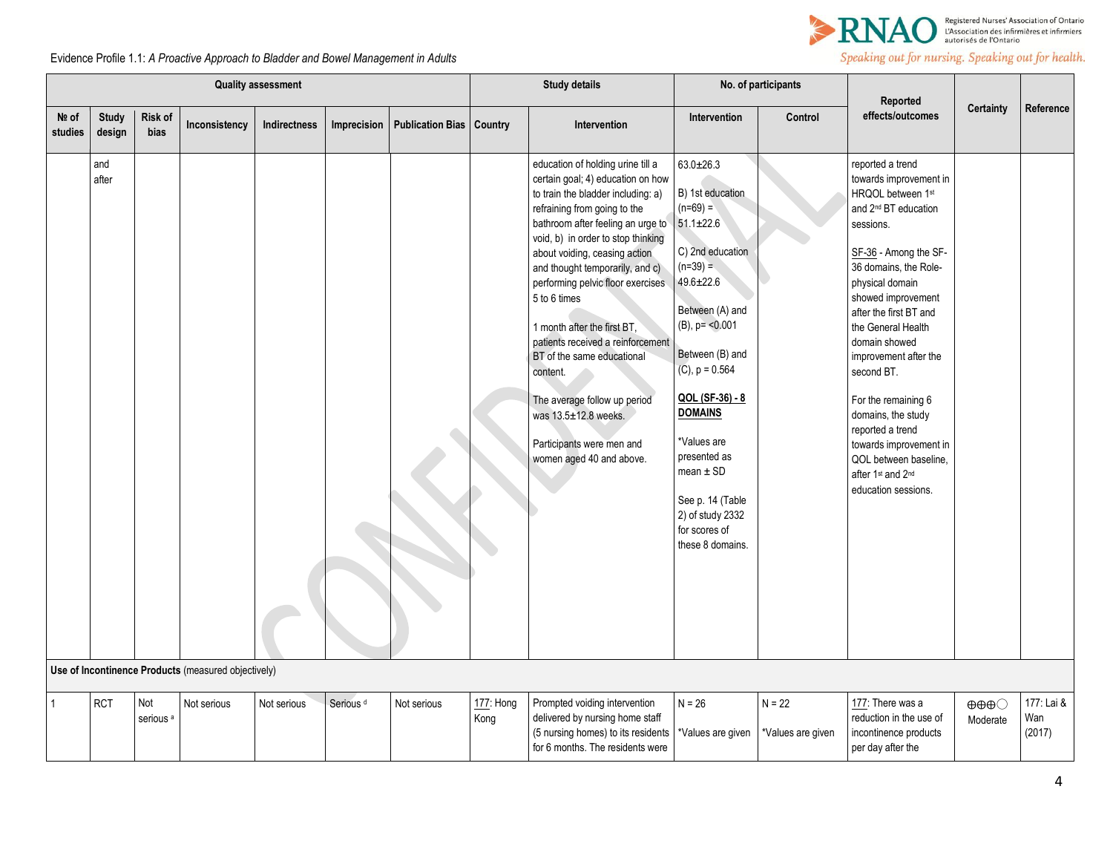

# Speaking out for nursing. Speaking out for health.

Evidence Profile 1.1: *A Proactive Approach to Bladder and Bowel Management in Adults*

|                  |                        |                 |                                                                    | <b>Quality assessment</b> |                      |                                   | <b>Study details</b>  |                                                                                                                                                                                                                                                                                                                                                                                                                                                                                                                                                                                 | No. of participants                                                                                                                                                                                                                                                                                                                                                 |          |                                                                                                                                                                                                                                                                                                                                                                                                                                                                                     |                                 |            |
|------------------|------------------------|-----------------|--------------------------------------------------------------------|---------------------------|----------------------|-----------------------------------|-----------------------|---------------------------------------------------------------------------------------------------------------------------------------------------------------------------------------------------------------------------------------------------------------------------------------------------------------------------------------------------------------------------------------------------------------------------------------------------------------------------------------------------------------------------------------------------------------------------------|---------------------------------------------------------------------------------------------------------------------------------------------------------------------------------------------------------------------------------------------------------------------------------------------------------------------------------------------------------------------|----------|-------------------------------------------------------------------------------------------------------------------------------------------------------------------------------------------------------------------------------------------------------------------------------------------------------------------------------------------------------------------------------------------------------------------------------------------------------------------------------------|---------------------------------|------------|
| Nº of<br>studies | <b>Study</b><br>design | Risk of<br>bias | Inconsistency                                                      | Indirectness              | Imprecision          | <b>Publication Bias   Country</b> |                       | Intervention                                                                                                                                                                                                                                                                                                                                                                                                                                                                                                                                                                    | Intervention                                                                                                                                                                                                                                                                                                                                                        | Control  | Reported<br>effects/outcomes                                                                                                                                                                                                                                                                                                                                                                                                                                                        | <b>Certainty</b>                | Reference  |
|                  | and<br>after           |                 |                                                                    |                           |                      |                                   |                       | education of holding urine till a<br>certain goal; 4) education on how<br>to train the bladder including: a)<br>refraining from going to the<br>bathroom after feeling an urge to<br>void, b) in order to stop thinking<br>about voiding, ceasing action<br>and thought temporarily, and c)<br>performing pelvic floor exercises<br>5 to 6 times<br>1 month after the first BT.<br>patients received a reinforcement<br>BT of the same educational<br>content.<br>The average follow up period<br>was 13.5±12.8 weeks.<br>Participants were men and<br>women aged 40 and above. | $63.0 + 26.3$<br>B) 1st education<br>$(n=69) =$<br>$51.1 \pm 22.6$<br>C) 2nd education<br>$(n=39) =$<br>49.6±22.6<br>Between (A) and<br>$(B)$ , p= <0.001<br>Between (B) and<br>$(C)$ , p = 0.564<br>QOL (SF-36) - 8<br><b>DOMAINS</b><br>*Values are<br>presented as<br>mean $\pm$ SD<br>See p. 14 (Table<br>2) of study 2332<br>for scores of<br>these 8 domains. |          | reported a trend<br>towards improvement in<br>HRQOL between 1st<br>and 2 <sup>nd</sup> BT education<br>sessions.<br>SF-36 - Among the SF-<br>36 domains, the Role-<br>physical domain<br>showed improvement<br>after the first BT and<br>the General Health<br>domain showed<br>improvement after the<br>second BT.<br>For the remaining 6<br>domains, the study<br>reported a trend<br>towards improvement in<br>QOL between baseline,<br>after 1st and 2nd<br>education sessions. |                                 |            |
|                  | <b>RCT</b>             | Not             | Use of Incontinence Products (measured objectively)<br>Not serious | Not serious               | Serious <sup>d</sup> |                                   |                       |                                                                                                                                                                                                                                                                                                                                                                                                                                                                                                                                                                                 | $N = 26$                                                                                                                                                                                                                                                                                                                                                            | $N = 22$ |                                                                                                                                                                                                                                                                                                                                                                                                                                                                                     |                                 | 177: Lai & |
|                  |                        |                 |                                                                    |                           |                      | Not serious                       | 177: Hong<br>izan a c | Prompted voiding intervention<br>والتناقي والمستوط المستحسن ويستردها المستور وتناجله                                                                                                                                                                                                                                                                                                                                                                                                                                                                                            |                                                                                                                                                                                                                                                                                                                                                                     |          | 177: There was a<br>الأنفر المتحدد المتعلقة المتحدث والمتحدد والمتحدة                                                                                                                                                                                                                                                                                                                                                                                                               | $\oplus \oplus \oplus \bigcirc$ | $M -$      |

| <b>RC</b> | l Not                | Not serious | Not serious | I Serious <sup>d</sup> | Not serious | 7: Hona | Prompted voiding intervention                              | $N = 26$ | $N = 22$            | There was a             | ⊕⊕⊕⊝     | -177: La |
|-----------|----------------------|-------------|-------------|------------------------|-------------|---------|------------------------------------------------------------|----------|---------------------|-------------------------|----------|----------|
|           | serious <sup>a</sup> |             |             |                        |             | Kona    | delivered by nursing home staff                            |          |                     | reduction in the use of | Moderate | Wan      |
|           |                      |             |             |                        |             |         | [5] (5 nursing homes) to its residents   *Values are given |          | l *Values are given | I incontinence products |          | (2017)   |
|           |                      |             |             |                        |             |         | for 6 months. The residents were 1                         |          |                     | per day after the       |          |          |
|           |                      |             |             |                        |             |         |                                                            |          |                     |                         |          |          |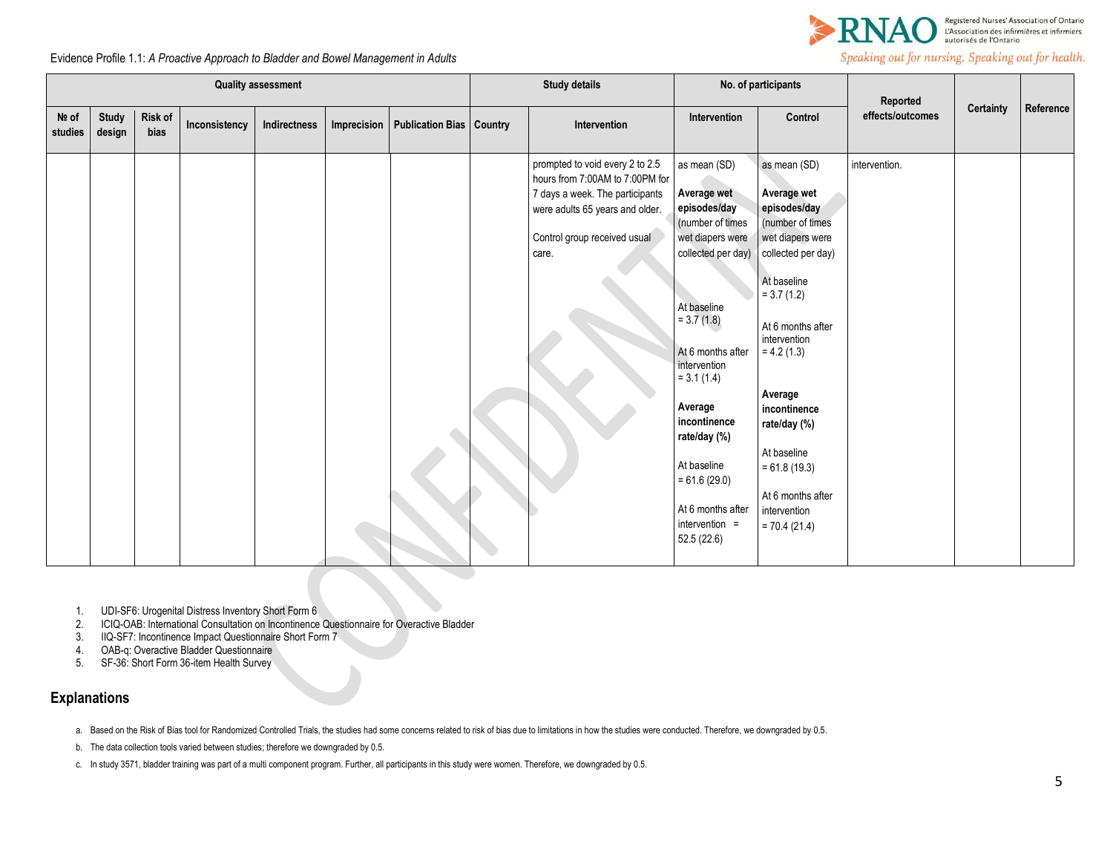

### Speaking out for nursing. Speaking out for health.

Evidence Profile 1.1: *A Proactive Approach to Bladder and Bowel Management in Adults*

|                  | <b>Quality assessment</b> |                 |               |              |             |                                 |  | <b>Study details</b>                                                                                                                                                              |                                                                                                                                                                                                                                                                                                                                  | No. of participants                                                                                                                                                                                                                                                                                                              |                              |           |           |
|------------------|---------------------------|-----------------|---------------|--------------|-------------|---------------------------------|--|-----------------------------------------------------------------------------------------------------------------------------------------------------------------------------------|----------------------------------------------------------------------------------------------------------------------------------------------------------------------------------------------------------------------------------------------------------------------------------------------------------------------------------|----------------------------------------------------------------------------------------------------------------------------------------------------------------------------------------------------------------------------------------------------------------------------------------------------------------------------------|------------------------------|-----------|-----------|
| Nº of<br>studies | <b>Study</b><br>design    | Risk of<br>bias | Inconsistency | Indirectness | Imprecision | <b>Publication Bias Country</b> |  | Intervention                                                                                                                                                                      | Intervention                                                                                                                                                                                                                                                                                                                     | Control                                                                                                                                                                                                                                                                                                                          | Reported<br>effects/outcomes | Certainty | Reference |
|                  |                           |                 |               |              |             |                                 |  | prompted to void every 2 to 2.5<br>hours from 7:00AM to 7:00PM for<br>7 days a week. The participants<br>were adults 65 years and older.<br>Control group received usual<br>care. | as mean (SD)<br>Average wet<br>episodes/day<br>(number of times<br>wet diapers were<br>collected per day)<br>At baseline<br>$= 3.7(1.8)$<br>At 6 months after<br>intervention<br>$= 3.1(1.4)$<br>Average<br>incontinence<br>rate/day (%)<br>At baseline<br>$= 61.6(29.0)$<br>At 6 months after<br>$intervention =$<br>52.5(22.6) | as mean (SD)<br>Average wet<br>episodes/day<br>(number of times<br>wet diapers were<br>collected per day)<br>At baseline<br>$= 3.7(1.2)$<br>At 6 months after<br>intervention<br>$= 4.2(1.3)$<br>Average<br>incontinence<br>rate/day (%)<br>At baseline<br>$= 61.8(19.3)$<br>At 6 months after<br>intervention<br>$= 70.4(21.4)$ | intervention.                |           |           |

1. UDI-SF6: Urogenital Distress Inventory Short Form 6

ICIQ-OAB: International Consultation on Incontinence Questionnaire for Overactive Bladder

3. IIQ-SF7: Incontinence Impact Questionnaire Short Form 7

4. OAB-q: Overactive Bladder Questionnaire

5. SF-36: Short Form 36-item Health Survey

## **Explanations**

a. Based on the Risk of Bias tool for Randomized Controlled Trials, the studies had some concerns related to risk of bias due to limitations in how the studies were conducted. Therefore, we downgraded by 0.5.

b. The data collection tools varied between studies; therefore we downgraded by 0.5.

c. In study 3571, bladder training was part of a multi component program. Further, all participants in this study were women. Therefore, we downgraded by 0.5.